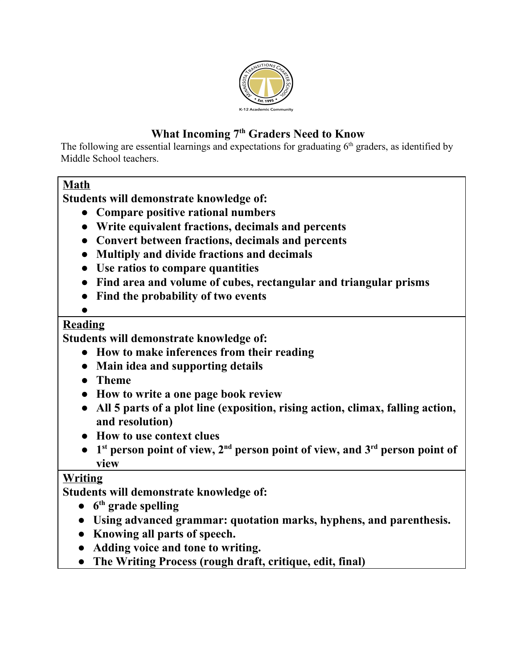

# **What Incoming 7 th Graders Need to Know**

The following are essential learnings and expectations for graduating  $6<sup>th</sup>$  graders, as identified by Middle School teachers.

## **Math**

**Students will demonstrate knowledge of:**

- **● Compare positive rational numbers**
- **● Write equivalent fractions, decimals and percents**
- **● Convert between fractions, decimals and percents**
- **● Multiply and divide fractions and decimals**
- **● Use ratios to compare quantities**
- **● Find area and volume of cubes, rectangular and triangular prisms**
- **● Find the probability of two events**
- **●**

## **Reading**

**Students will demonstrate knowledge of:**

- **● How to make inferences from their reading**
- **● Main idea and supporting details**
- **● Theme**
- **● How to write a one page book review**
- **● All 5 parts of a plot line (exposition, rising action, climax, falling action, and resolution)**
- **● How to use context clues**
- **● 1 st person point of view, 2 nd person point of view, and 3 rd person point of view**

## **Writing**

**Students will demonstrate knowledge of:**

- **● 6 th grade spelling**
- **● Using advanced grammar: quotation marks, hyphens, and parenthesis.**
- **● Knowing all parts of speech.**
- **● Adding voice and tone to writing.**
- **● The Writing Process (rough draft, critique, edit, final)**